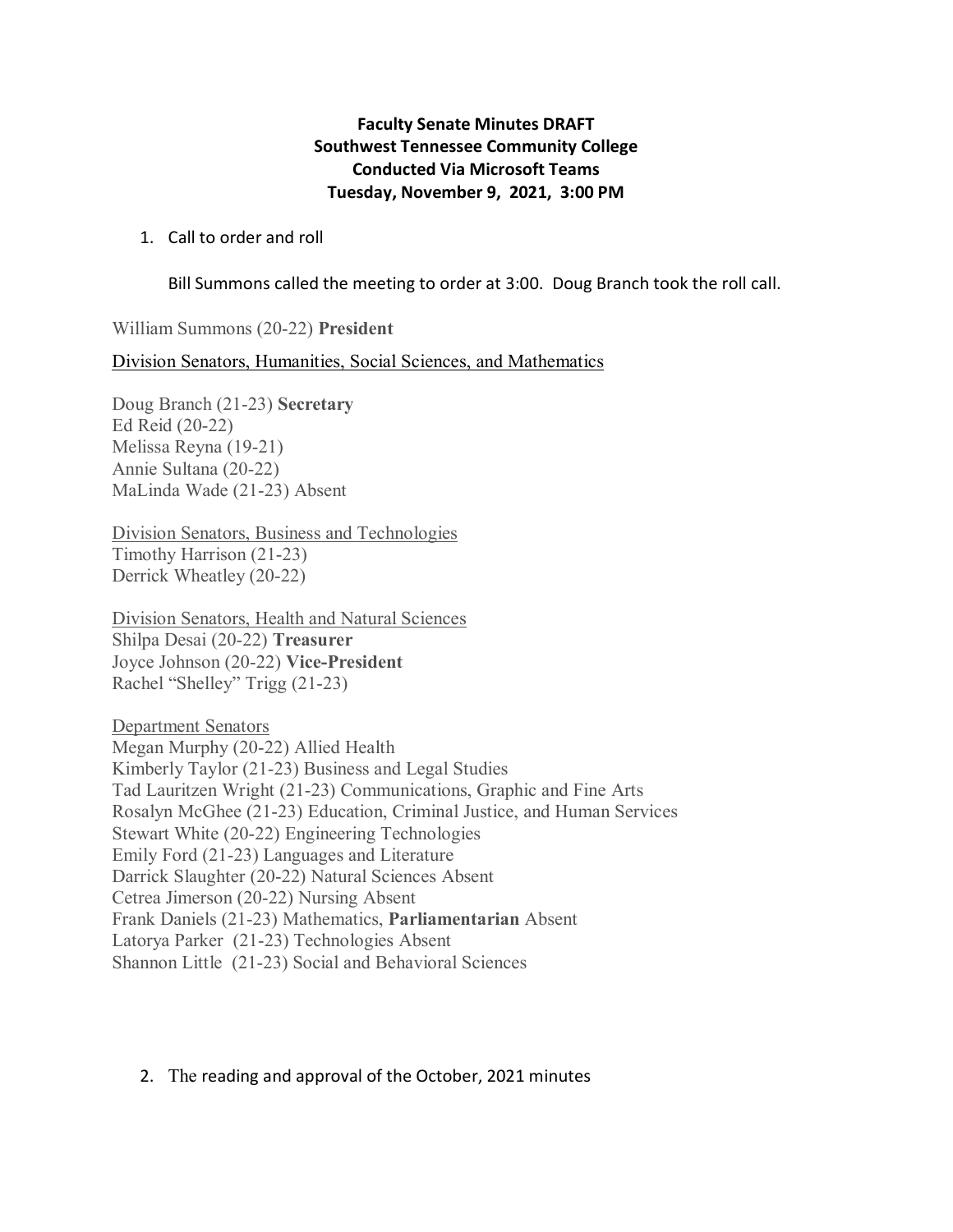## **Faculty Senate Minutes DRAFT Southwest Tennessee Community College Conducted Via Microsoft Teams Tuesday, November 9, 2021, 3:00 PM**

## 1. Call to order and roll

Bill Summons called the meeting to order at 3:00. Doug Branch took the roll call.

William Summons (20-22) **President** 

Division Senators, Humanities, Social Sciences, and Mathematics

Doug Branch (21-23) **Secretary** Ed Reid (20-22) Melissa Reyna (19-21) Annie Sultana (20-22) MaLinda Wade (21-23) Absent

Division Senators, Business and Technologies Timothy Harrison (21-23) Derrick Wheatley (20-22)

Division Senators, Health and Natural Sciences Shilpa Desai (20-22) **Treasurer** Joyce Johnson (20-22) **Vice-President** Rachel "Shelley" Trigg (21-23)

Department Senators Megan Murphy (20-22) Allied Health Kimberly Taylor (21-23) Business and Legal Studies Tad Lauritzen Wright (21-23) Communications, Graphic and Fine Arts Rosalyn McGhee (21-23) Education, Criminal Justice, and Human Services Stewart White (20-22) Engineering Technologies Emily Ford (21-23) Languages and Literature Darrick Slaughter (20-22) Natural Sciences Absent Cetrea Jimerson (20-22) Nursing Absent Frank Daniels (21-23) Mathematics, **Parliamentarian** Absent Latorya Parker (21-23) Technologies Absent Shannon Little (21-23) Social and Behavioral Sciences

## 2. The reading and approval of the October, 2021 minutes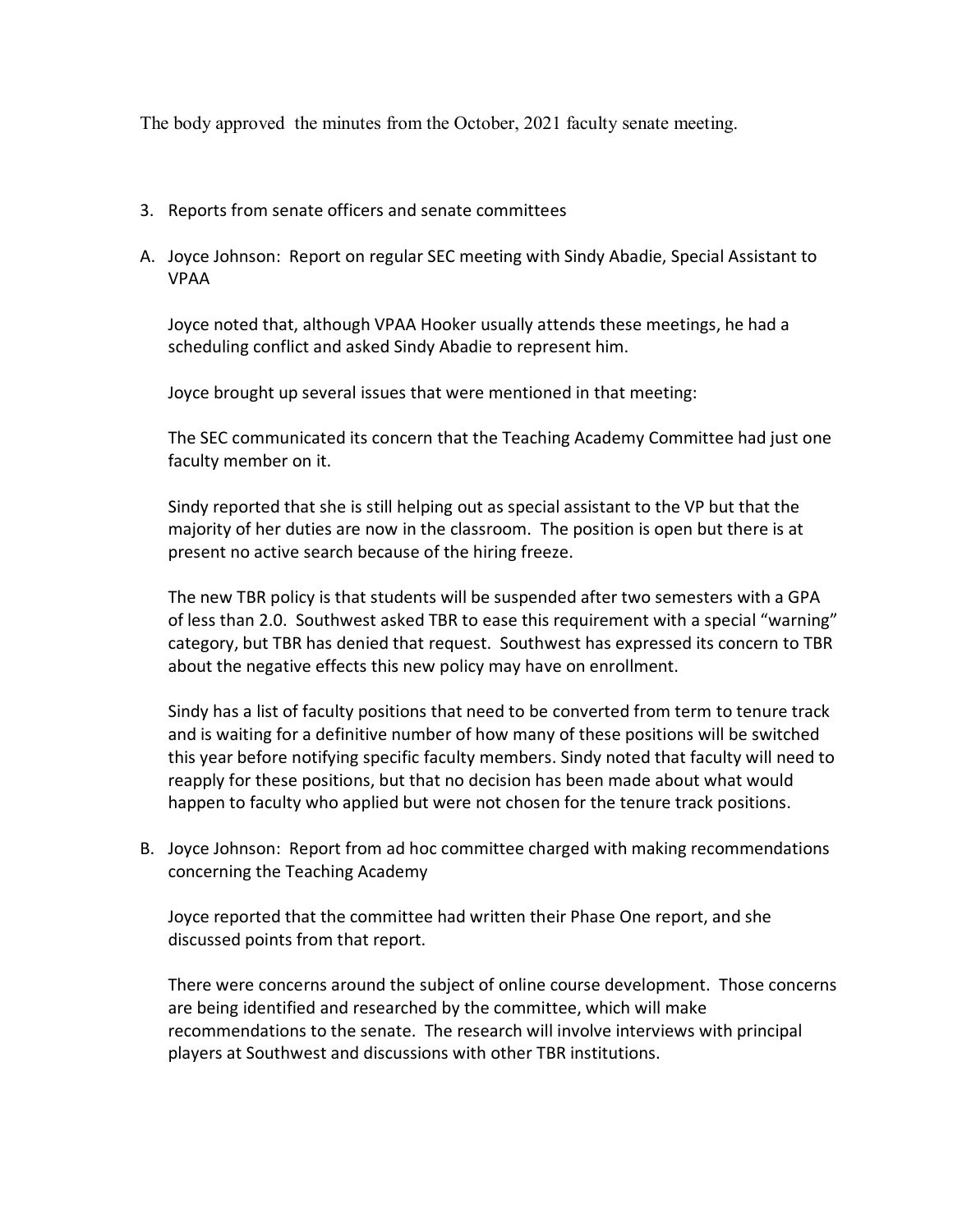The body approved the minutes from the October, 2021 faculty senate meeting.

- 3. Reports from senate officers and senate committees
- A. Joyce Johnson: Report on regular SEC meeting with Sindy Abadie, Special Assistant to VPAA

Joyce noted that, although VPAA Hooker usually attends these meetings, he had a scheduling conflict and asked Sindy Abadie to represent him.

Joyce brought up several issues that were mentioned in that meeting:

The SEC communicated its concern that the Teaching Academy Committee had just one faculty member on it.

Sindy reported that she is still helping out as special assistant to the VP but that the majority of her duties are now in the classroom. The position is open but there is at present no active search because of the hiring freeze.

The new TBR policy is that students will be suspended after two semesters with a GPA of less than 2.0. Southwest asked TBR to ease this requirement with a special "warning" category, but TBR has denied that request. Southwest has expressed its concern to TBR about the negative effects this new policy may have on enrollment.

Sindy has a list of faculty positions that need to be converted from term to tenure track and is waiting for a definitive number of how many of these positions will be switched this year before notifying specific faculty members. Sindy noted that faculty will need to reapply for these positions, but that no decision has been made about what would happen to faculty who applied but were not chosen for the tenure track positions.

B. Joyce Johnson: Report from ad hoc committee charged with making recommendations concerning the Teaching Academy

Joyce reported that the committee had written their Phase One report, and she discussed points from that report.

There were concerns around the subject of online course development. Those concerns are being identified and researched by the committee, which will make recommendations to the senate. The research will involve interviews with principal players at Southwest and discussions with other TBR institutions.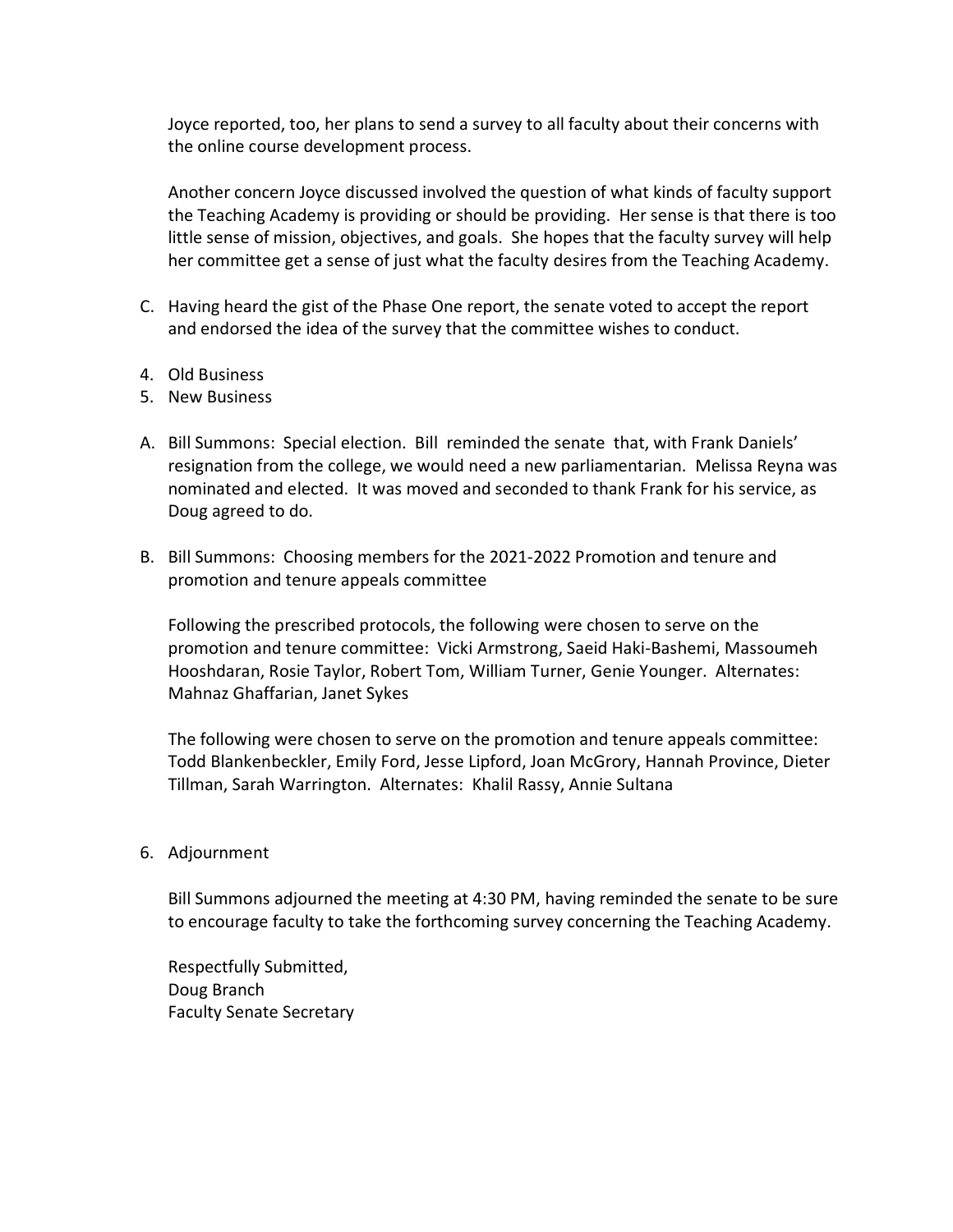Joyce reported, too, her plans to send a survey to all faculty about their concerns with the online course development process.

Another concern Joyce discussed involved the question of what kinds of faculty support the Teaching Academy is providing or should be providing. Her sense is that there is too little sense of mission, objectives, and goals. She hopes that the faculty survey will help her committee get a sense of just what the faculty desires from the Teaching Academy.

- C. Having heard the gist of the Phase One report, the senate voted to accept the report and endorsed the idea of the survey that the committee wishes to conduct.
- 4. Old Business
- 5. New Business
- A. Bill Summons: Special election. Bill reminded the senate that, with Frank Daniels' resignation from the college, we would need a new parliamentarian. Melissa Reyna was nominated and elected. It was moved and seconded to thank Frank for his service, as Doug agreed to do.
- B. Bill Summons: Choosing members for the 2021-2022 Promotion and tenure and promotion and tenure appeals committee

Following the prescribed protocols, the following were chosen to serve on the promotion and tenure committee: Vicki Armstrong, Saeid Haki-Bashemi, Massoumeh Hooshdaran, Rosie Taylor, Robert Tom, William Turner, Genie Younger. Alternates: Mahnaz Ghaffarian, Janet Sykes

The following were chosen to serve on the promotion and tenure appeals committee: Todd Blankenbeckler, Emily Ford, Jesse Lipford, Joan McGrory, Hannah Province, Dieter Tillman, Sarah Warrington. Alternates: Khalil Rassy, Annie Sultana

## 6. Adjournment

Bill Summons adjourned the meeting at 4:30 PM, having reminded the senate to be sure to encourage faculty to take the forthcoming survey concerning the Teaching Academy.

Respectfully Submitted, Doug Branch Faculty Senate Secretary